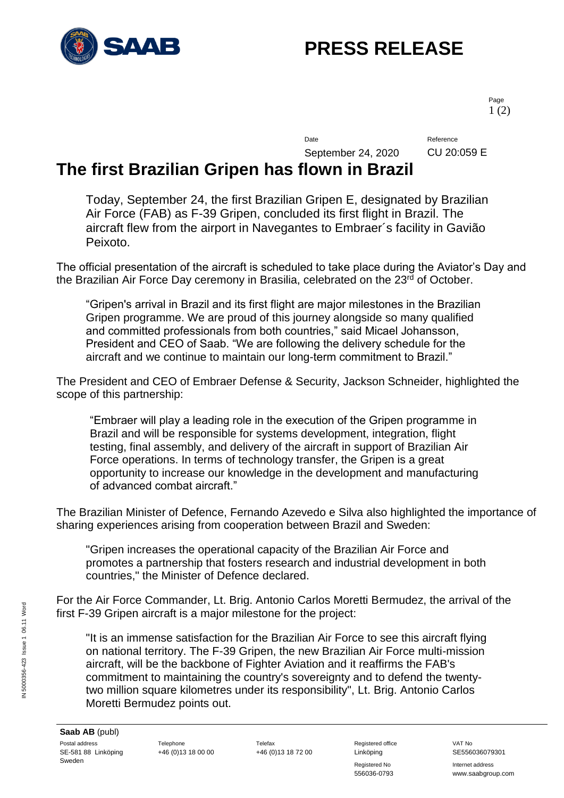

# **PRESS RELEASE**

Page 1 (2)

Date Reference

September 24, 2020 CU 20:059 E

### **The first Brazilian Gripen has flown in Brazil**

Today, September 24, the first Brazilian Gripen E, designated by Brazilian Air Force (FAB) as F-39 Gripen, concluded its first flight in Brazil. The aircraft flew from the airport in Navegantes to Embraer´s facility in Gavião Peixoto.

The official presentation of the aircraft is scheduled to take place during the Aviator's Day and the Brazilian Air Force Day ceremony in Brasilia, celebrated on the 23<sup>rd</sup> of October.

"Gripen's arrival in Brazil and its first flight are major milestones in the Brazilian Gripen programme. We are proud of this journey alongside so many qualified and committed professionals from both countries," said Micael Johansson, President and CEO of Saab. "We are following the delivery schedule for the aircraft and we continue to maintain our long-term commitment to Brazil."

The President and CEO of Embraer Defense & Security, Jackson Schneider, highlighted the scope of this partnership:

"Embraer will play a leading role in the execution of the Gripen programme in Brazil and will be responsible for systems development, integration, flight testing, final assembly, and delivery of the aircraft in support of Brazilian Air Force operations. In terms of technology transfer, the Gripen is a great opportunity to increase our knowledge in the development and manufacturing of advanced combat aircraft."

The Brazilian Minister of Defence, Fernando Azevedo e Silva also highlighted the importance of sharing experiences arising from cooperation between Brazil and Sweden:

"Gripen increases the operational capacity of the Brazilian Air Force and promotes a partnership that fosters research and industrial development in both countries," the Minister of Defence declared.

For the Air Force Commander, Lt. Brig. Antonio Carlos Moretti Bermudez, the arrival of the first F-39 Gripen aircraft is a major milestone for the project:

"It is an immense satisfaction for the Brazilian Air Force to see this aircraft flying on national territory. The F-39 Gripen, the new Brazilian Air Force multi-mission aircraft, will be the backbone of Fighter Aviation and it reaffirms the FAB's commitment to maintaining the country's sovereignty and to defend the twentytwo million square kilometres under its responsibility", Lt. Brig. Antonio Carlos Moretti Bermudez points out.

Registered No **Internet address** 556036-0793 www.saabgroup.com